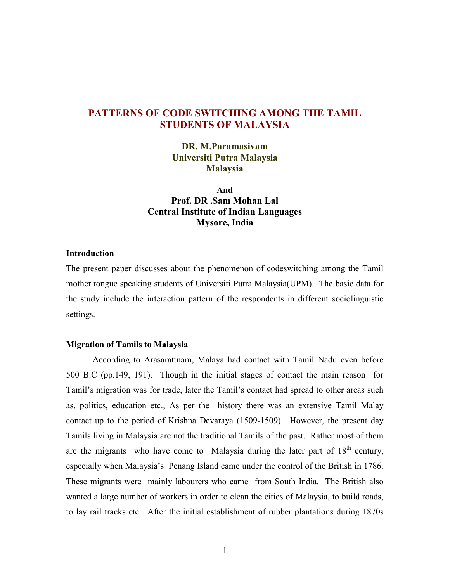# PATTERNS OF CODE SWITCHING AMONG THE TAMIL STUDENTS OF MALAYSIA

DR. M.Paramasivam Universiti Putra Malaysia Malaysia

And Prof. DR .Sam Mohan Lal Central Institute of Indian Languages Mysore, India

## Introduction

The present paper discusses about the phenomenon of codeswitching among the Tamil mother tongue speaking students of Universiti Putra Malaysia(UPM). The basic data for the study include the interaction pattern of the respondents in different sociolinguistic settings.

#### Migration of Tamils to Malaysia

According to Arasarattnam, Malaya had contact with Tamil Nadu even before 500 B.C (pp.149, 191). Though in the initial stages of contact the main reason for Tamil's migration was for trade, later the Tamil's contact had spread to other areas such as, politics, education etc., As per the history there was an extensive Tamil Malay contact up to the period of Krishna Devaraya (1509-1509). However, the present day Tamils living in Malaysia are not the traditional Tamils of the past. Rather most of them are the migrants who have come to Malaysia during the later part of  $18<sup>th</sup>$  century, especially when Malaysia's Penang Island came under the control of the British in 1786. These migrants were mainly labourers who came from South India. The British also wanted a large number of workers in order to clean the cities of Malaysia, to build roads, to lay rail tracks etc. After the initial establishment of rubber plantations during 1870s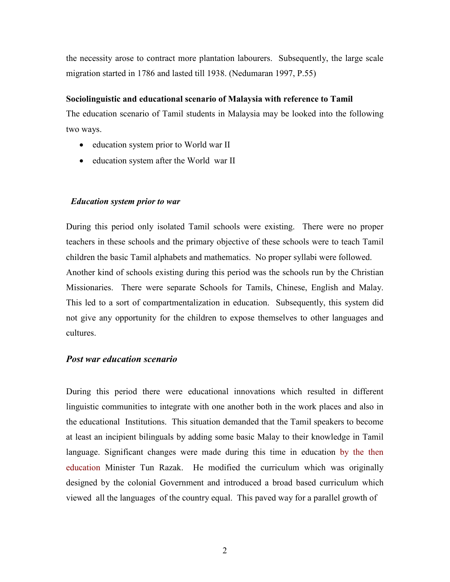the necessity arose to contract more plantation labourers. Subsequently, the large scale migration started in 1786 and lasted till 1938. (Nedumaran 1997, P.55)

#### Sociolinguistic and educational scenario of Malaysia with reference to Tamil

The education scenario of Tamil students in Malaysia may be looked into the following two ways.

- education system prior to World war II
- education system after the World war II

## Education system prior to war

During this period only isolated Tamil schools were existing. There were no proper teachers in these schools and the primary objective of these schools were to teach Tamil children the basic Tamil alphabets and mathematics. No proper syllabi were followed. Another kind of schools existing during this period was the schools run by the Christian Missionaries. There were separate Schools for Tamils, Chinese, English and Malay. This led to a sort of compartmentalization in education. Subsequently, this system did not give any opportunity for the children to expose themselves to other languages and cultures.

# Post war education scenario

During this period there were educational innovations which resulted in different linguistic communities to integrate with one another both in the work places and also in the educational Institutions. This situation demanded that the Tamil speakers to become at least an incipient bilinguals by adding some basic Malay to their knowledge in Tamil language. Significant changes were made during this time in education by the then education Minister Tun Razak. He modified the curriculum which was originally designed by the colonial Government and introduced a broad based curriculum which viewed all the languages of the country equal. This paved way for a parallel growth of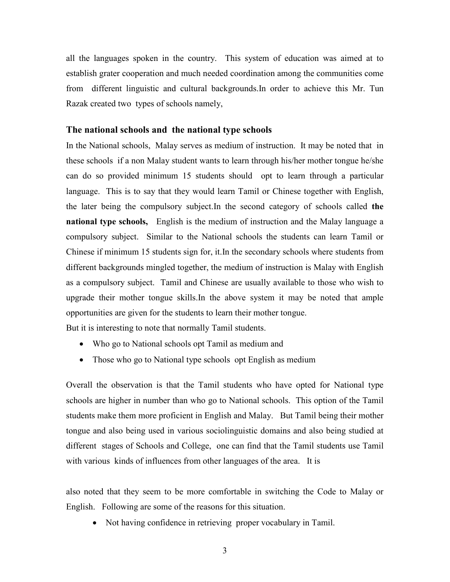all the languages spoken in the country. This system of education was aimed at to establish grater cooperation and much needed coordination among the communities come from different linguistic and cultural backgrounds.In order to achieve this Mr. Tun Razak created two types of schools namely,

### The national schools and the national type schools

In the National schools, Malay serves as medium of instruction. It may be noted that in these schools if a non Malay student wants to learn through his/her mother tongue he/she can do so provided minimum 15 students should opt to learn through a particular language. This is to say that they would learn Tamil or Chinese together with English, the later being the compulsory subject.In the second category of schools called the national type schools, English is the medium of instruction and the Malay language a compulsory subject. Similar to the National schools the students can learn Tamil or Chinese if minimum 15 students sign for, it.In the secondary schools where students from different backgrounds mingled together, the medium of instruction is Malay with English as a compulsory subject. Tamil and Chinese are usually available to those who wish to upgrade their mother tongue skills.In the above system it may be noted that ample opportunities are given for the students to learn their mother tongue. But it is interesting to note that normally Tamil students.

- Who go to National schools opt Tamil as medium and
- Those who go to National type schools opt English as medium

Overall the observation is that the Tamil students who have opted for National type schools are higher in number than who go to National schools. This option of the Tamil students make them more proficient in English and Malay. But Tamil being their mother tongue and also being used in various sociolinguistic domains and also being studied at different stages of Schools and College, one can find that the Tamil students use Tamil with various kinds of influences from other languages of the area. It is

also noted that they seem to be more comfortable in switching the Code to Malay or English. Following are some of the reasons for this situation.

• Not having confidence in retrieving proper vocabulary in Tamil.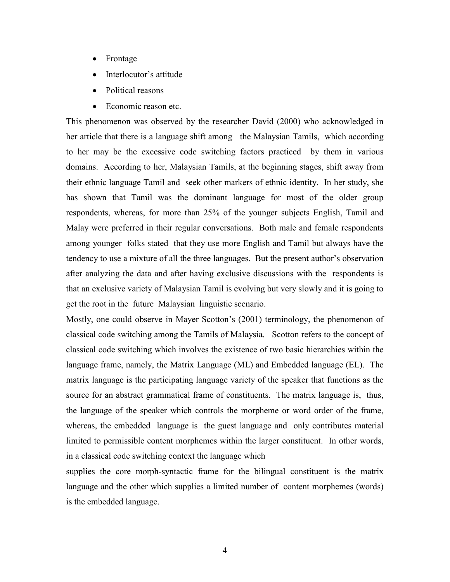- Frontage
- Interlocutor's attitude
- Political reasons
- Economic reason etc.

This phenomenon was observed by the researcher David (2000) who acknowledged in her article that there is a language shift among the Malaysian Tamils, which according to her may be the excessive code switching factors practiced by them in various domains. According to her, Malaysian Tamils, at the beginning stages, shift away from their ethnic language Tamil and seek other markers of ethnic identity. In her study, she has shown that Tamil was the dominant language for most of the older group respondents, whereas, for more than 25% of the younger subjects English, Tamil and Malay were preferred in their regular conversations. Both male and female respondents among younger folks stated that they use more English and Tamil but always have the tendency to use a mixture of all the three languages. But the present author's observation after analyzing the data and after having exclusive discussions with the respondents is that an exclusive variety of Malaysian Tamil is evolving but very slowly and it is going to get the root in the future Malaysian linguistic scenario.

Mostly, one could observe in Mayer Scotton's (2001) terminology, the phenomenon of classical code switching among the Tamils of Malaysia. Scotton refers to the concept of classical code switching which involves the existence of two basic hierarchies within the language frame, namely, the Matrix Language (ML) and Embedded language (EL). The matrix language is the participating language variety of the speaker that functions as the source for an abstract grammatical frame of constituents. The matrix language is, thus, the language of the speaker which controls the morpheme or word order of the frame, whereas, the embedded language is the guest language and only contributes material limited to permissible content morphemes within the larger constituent. In other words, in a classical code switching context the language which

supplies the core morph-syntactic frame for the bilingual constituent is the matrix language and the other which supplies a limited number of content morphemes (words) is the embedded language.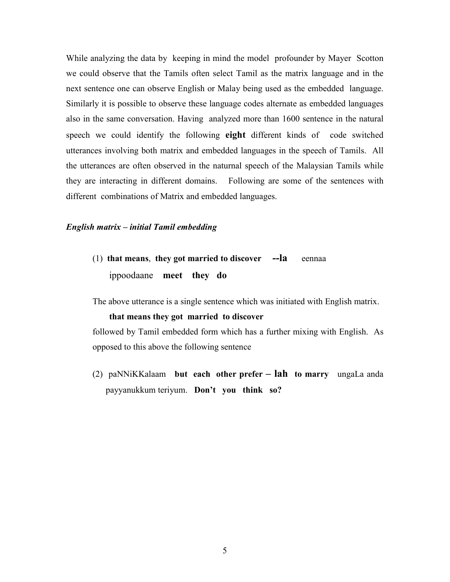While analyzing the data by keeping in mind the model profounder by Mayer Scotton we could observe that the Tamils often select Tamil as the matrix language and in the next sentence one can observe English or Malay being used as the embedded language. Similarly it is possible to observe these language codes alternate as embedded languages also in the same conversation. Having analyzed more than 1600 sentence in the natural speech we could identify the following **eight** different kinds of code switched utterances involving both matrix and embedded languages in the speech of Tamils. All the utterances are often observed in the naturnal speech of the Malaysian Tamils while they are interacting in different domains. Following are some of the sentences with different combinations of Matrix and embedded languages.

## English matrix – initial Tamil embedding

(1) that means, they got married to discover  $-**l**a$  eennaa ippoodaane meet they do

The above utterance is a single sentence which was initiated with English matrix.

#### that means they got married to discover

followed by Tamil embedded form which has a further mixing with English. As opposed to this above the following sentence

(2) paNNiKKalaam but each other prefer – lah to marry ungaLa anda payyanukkum teriyum. Don't you think so?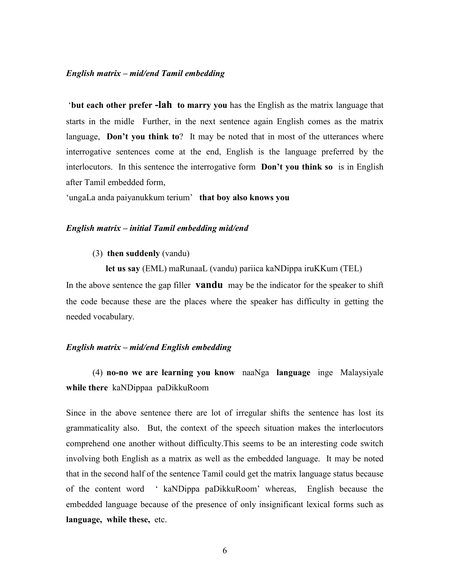#### English matrix – mid/end Tamil embedding

 'but each other prefer -lah to marry you has the English as the matrix language that starts in the midle Further, in the next sentence again English comes as the matrix language, **Don't you think to**? It may be noted that in most of the utterances where interrogative sentences come at the end, English is the language preferred by the interlocutors. In this sentence the interrogative form **Don't you think so** is in English after Tamil embedded form,

'ungaLa anda paiyanukkum terium' that boy also knows you

#### English matrix – initial Tamil embedding mid/end

## (3) then suddenly (vandu)

let us say (EML) maRunaaL (vandu) pariica kaNDippa iruKKum (TEL) In the above sentence the gap filler **vandu** may be the indicator for the speaker to shift the code because these are the places where the speaker has difficulty in getting the needed vocabulary.

## English matrix – mid/end English embedding

(4) no-no we are learning you know naaNga language inge Malaysiyale while there kaNDippaa paDikkuRoom

Since in the above sentence there are lot of irregular shifts the sentence has lost its grammaticality also. But, the context of the speech situation makes the interlocutors comprehend one another without difficulty.This seems to be an interesting code switch involving both English as a matrix as well as the embedded language. It may be noted that in the second half of the sentence Tamil could get the matrix language status because of the content word ' kaNDippa paDikkuRoom' whereas, English because the embedded language because of the presence of only insignificant lexical forms such as language, while these, etc.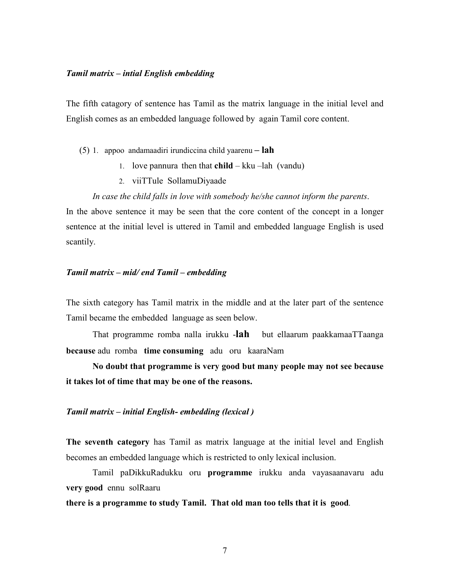## Tamil matrix – intial English embedding

The fifth catagory of sentence has Tamil as the matrix language in the initial level and English comes as an embedded language followed by again Tamil core content.

- (5) 1. appoo andamaadiri irundiccina child yaarenu  $\text{lah}$ 
	- 1. love pannura then that  $child kku lah$  (vandu)
	- 2. viiTTule SollamuDiyaade
	- In case the child falls in love with somebody he/she cannot inform the parents.

In the above sentence it may be seen that the core content of the concept in a longer sentence at the initial level is uttered in Tamil and embedded language English is used scantily.

## Tamil matrix – mid/ end Tamil – embedding

The sixth category has Tamil matrix in the middle and at the later part of the sentence Tamil became the embedded language as seen below.

That programme romba nalla irukku -lah but ellaarum paakkamaaTTaanga because adu romba time consuming adu oru kaaraNam

 No doubt that programme is very good but many people may not see because it takes lot of time that may be one of the reasons.

### Tamil matrix – initial English- embedding (lexical )

The seventh category has Tamil as matrix language at the initial level and English becomes an embedded language which is restricted to only lexical inclusion.

Tamil paDikkuRadukku oru programme irukku anda vayasaanavaru adu very good ennu solRaaru

## there is a programme to study Tamil. That old man too tells that it is good.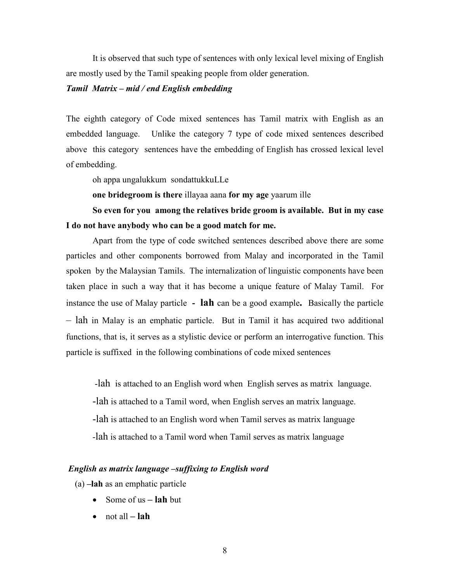It is observed that such type of sentences with only lexical level mixing of English are mostly used by the Tamil speaking people from older generation.

## Tamil Matrix – mid / end English embedding

The eighth category of Code mixed sentences has Tamil matrix with English as an embedded language. Unlike the category 7 type of code mixed sentences described above this category sentences have the embedding of English has crossed lexical level of embedding.

oh appa ungalukkum sondattukkuLLe

one bridegroom is there illayaa aana for my age yaarum ille

So even for you among the relatives bride groom is available. But in my case I do not have anybody who can be a good match for me.

Apart from the type of code switched sentences described above there are some particles and other components borrowed from Malay and incorporated in the Tamil spoken by the Malaysian Tamils. The internalization of linguistic components have been taken place in such a way that it has become a unique feature of Malay Tamil. For instance the use of Malay particle  $\overline{\phantom{a}}$  - **lah** can be a good example. Basically the particle – lah in Malay is an emphatic particle. But in Tamil it has acquired two additional functions, that is, it serves as a stylistic device or perform an interrogative function. This particle is suffixed in the following combinations of code mixed sentences

 -lah is attached to an English word when English serves as matrix language. -lah is attached to a Tamil word, when English serves an matrix language. -lah is attached to an English word when Tamil serves as matrix language -lah is attached to a Tamil word when Tamil serves as matrix language

## English as matrix language –suffixing to English word

(a) –lah as an emphatic particle

- Some of us  $-$  lah but
- not all  $-$  lah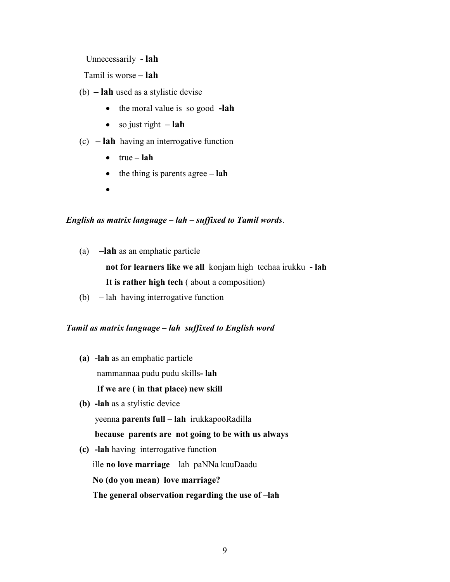Unnecessarily - lah

Tamil is worse – lah

- (b) lah used as a stylistic devise
	- the moral value is so good -lah
	- so just right  $-$  lah
- $(c)$  **lah** having an interrogative function
	- $\bullet$  true lah
	- $\bullet$  the thing is parents agree lah
	- •

## English as matrix language – lah – suffixed to Tamil words.

(a) –lah as an emphatic particle not for learners like we all konjam high techaa irukku - lah

It is rather high tech ( about a composition)

(b) – lah having interrogative function

# Tamil as matrix language – lah suffixed to English word

- (a) -lah as an emphatic particle nammannaa pudu pudu skills- lah If we are ( in that place) new skill
- (b) -lah as a stylistic device yeenna parents full – lah irukkapooRadilla because parents are not going to be with us always
- (c) -lah having interrogative function ille no love marriage – lah paNNa kuuDaadu No (do you mean) love marriage? The general observation regarding the use of –lah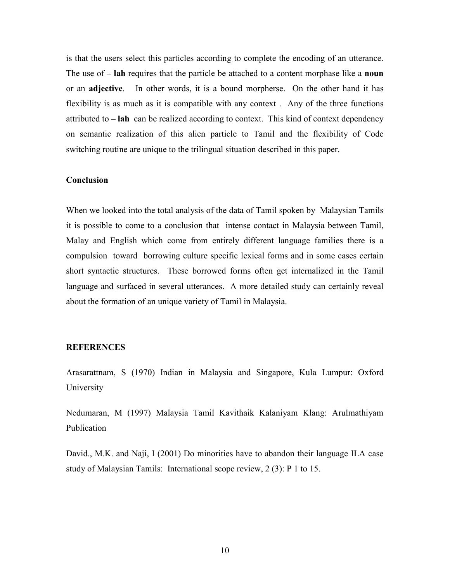is that the users select this particles according to complete the encoding of an utterance. The use of  $-$  lah requires that the particle be attached to a content morphase like a noun or an adjective. In other words, it is a bound morpherse. On the other hand it has flexibility is as much as it is compatible with any context . Any of the three functions attributed to  $-\mathbf{lah}$  can be realized according to context. This kind of context dependency on semantic realization of this alien particle to Tamil and the flexibility of Code switching routine are unique to the trilingual situation described in this paper.

## **Conclusion**

When we looked into the total analysis of the data of Tamil spoken by Malaysian Tamils it is possible to come to a conclusion that intense contact in Malaysia between Tamil, Malay and English which come from entirely different language families there is a compulsion toward borrowing culture specific lexical forms and in some cases certain short syntactic structures. These borrowed forms often get internalized in the Tamil language and surfaced in several utterances. A more detailed study can certainly reveal about the formation of an unique variety of Tamil in Malaysia.

#### **REFERENCES**

Arasarattnam, S (1970) Indian in Malaysia and Singapore, Kula Lumpur: Oxford University

Nedumaran, M (1997) Malaysia Tamil Kavithaik Kalaniyam Klang: Arulmathiyam Publication

David., M.K. and Naji, I (2001) Do minorities have to abandon their language ILA case study of Malaysian Tamils: International scope review, 2 (3): P 1 to 15.